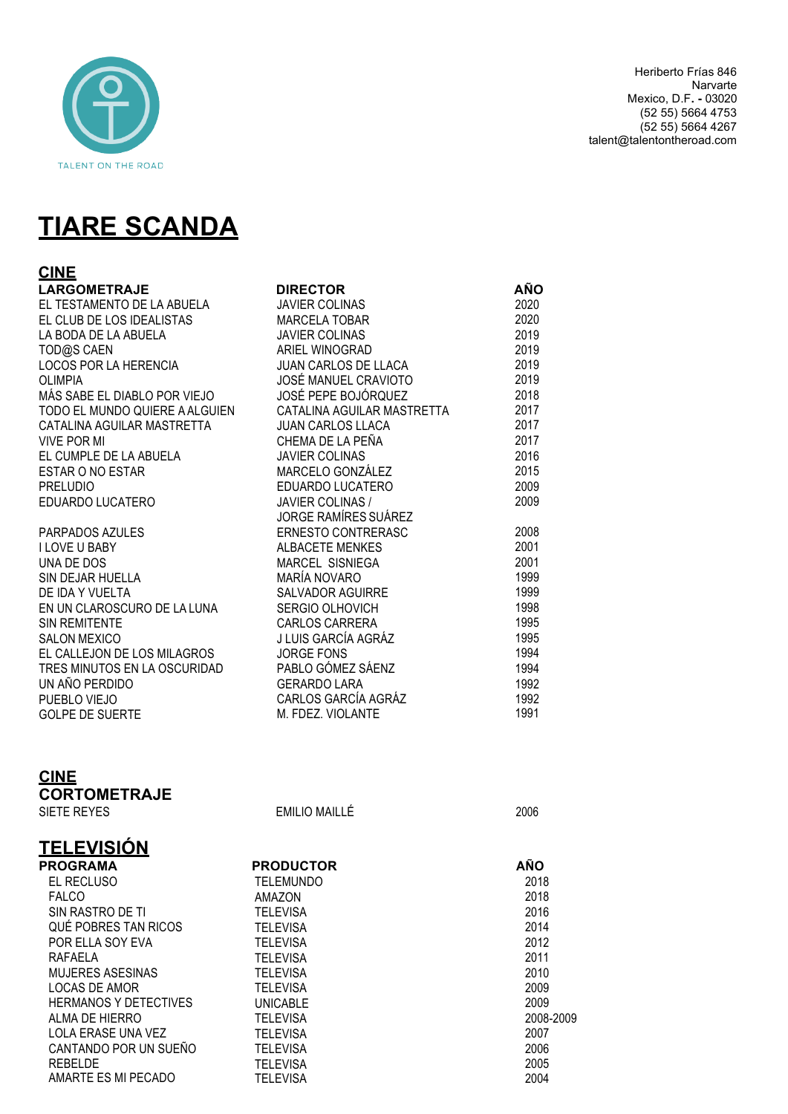

# **TIARE SCANDA**

| <b>CINE</b>                    |                            |            |
|--------------------------------|----------------------------|------------|
| <b>LARGOMETRAJE</b>            | <b>DIRECTOR</b>            | <b>AÑO</b> |
| EL TESTAMENTO DE LA ABUELA     | <b>JAVIER COLINAS</b>      | 2020       |
| EL CLUB DE LOS IDEALISTAS      | <b>MARCELA TOBAR</b>       | 2020       |
| LA BODA DE LA ABUELA           | <b>JAVIER COLINAS</b>      | 2019       |
| TOD@S CAEN                     | ARIEL WINOGRAD             | 2019       |
| LOCOS POR LA HERENCIA          | JUAN CARLOS DE LLACA       | 2019       |
| <b>OLIMPIA</b>                 | JOSÉ MANUEL CRAVIOTO       | 2019       |
| MÁS SABE EL DIABLO POR VIEJO   | JOSÉ PEPE BOJÓRQUEZ        | 2018       |
| TODO EL MUNDO QUIERE A ALGUIEN | CATALINA AGUILAR MASTRETTA | 2017       |
| CATALINA AGUILAR MASTRETTA     | <b>JUAN CARLOS LLACA</b>   | 2017       |
| <b>VIVE POR MI</b>             | CHEMA DE LA PEÑA           | 2017       |
| EL CUMPLE DE LA ABUELA         | <b>JAVIER COLINAS</b>      | 2016       |
| <b>ESTAR O NO ESTAR</b>        | MARCELO GONZÁLEZ           | 2015       |
| <b>PRELUDIO</b>                | EDUARDO LUCATERO           | 2009       |
| EDUARDO LUCATERO               | <b>JAVIER COLINAS /</b>    | 2009       |
|                                | JORGE RAMÍRES SUÁREZ       |            |
| PARPADOS AZULES                | <b>ERNESTO CONTRERASC</b>  | 2008       |
| <b>I LOVE U BABY</b>           | <b>ALBACETE MENKES</b>     | 2001       |
| UNA DE DOS                     | MARCEL SISNIEGA            | 2001       |
| SIN DEJAR HUELLA               | MARÍA NOVARO               | 1999       |
| DE IDA Y VUELTA                | <b>SALVADOR AGUIRRE</b>    | 1999       |
| EN UN CLAROSCURO DE LA LUNA    | SERGIO OLHOVICH            | 1998       |
| <b>SIN REMITENTE</b>           | <b>CARLOS CARRERA</b>      | 1995       |
| <b>SALON MEXICO</b>            | J LUIS GARCÍA AGRÁZ        | 1995       |
| EL CALLEJON DE LOS MILAGROS    | <b>JORGE FONS</b>          | 1994       |
| TRES MINUTOS EN LA OSCURIDAD   | PABLO GÓMEZ SÁENZ          | 1994       |
| UN AÑO PERDIDO                 | <b>GERARDO LARA</b>        | 1992       |
| PUEBLO VIEJO                   | CARLOS GARCÍA AGRÁZ        | 1992       |
| <b>GOLPE DE SUERTE</b>         | M. FDEZ. VIOLANTE          | 1991       |

## **CINE CORTOMETRAJE**

| SIETE REYES                  | <b>EMILIO MAILLÉ</b> | 2006       |
|------------------------------|----------------------|------------|
| <b>TELEVISIÓN</b>            |                      |            |
| <b>PROGRAMA</b>              | <b>PRODUCTOR</b>     | <b>AÑO</b> |
| EL RECLUSO                   | TELEMUNDO            | 2018       |
| <b>FALCO</b>                 | AMAZON               | 2018       |
| SIN RASTRO DE TI             | <b>TELEVISA</b>      | 2016       |
| QUÉ POBRES TAN RICOS         | <b>TELEVISA</b>      | 2014       |
| POR ELLA SOY EVA             | <b>TELEVISA</b>      | 2012       |
| RAFAELA                      | <b>TELEVISA</b>      | 2011       |
| <b>MUJERES ASESINAS</b>      | <b>TELEVISA</b>      | 2010       |
| LOCAS DE AMOR                | <b>TELEVISA</b>      | 2009       |
| <b>HERMANOS Y DETECTIVES</b> | <b>UNICABLE</b>      | 2009       |
| ALMA DE HIERRO               | <b>TELEVISA</b>      | 2008-2009  |
| LOLA ERASE UNA VEZ           | <b>TELEVISA</b>      | 2007       |
| CANTANDO POR UN SUEÑO        | <b>TELEVISA</b>      | 2006       |
| <b>REBELDE</b>               | <b>TELEVISA</b>      | 2005       |
| AMARTE ES MI PECADO          | <b>TELEVISA</b>      | 2004       |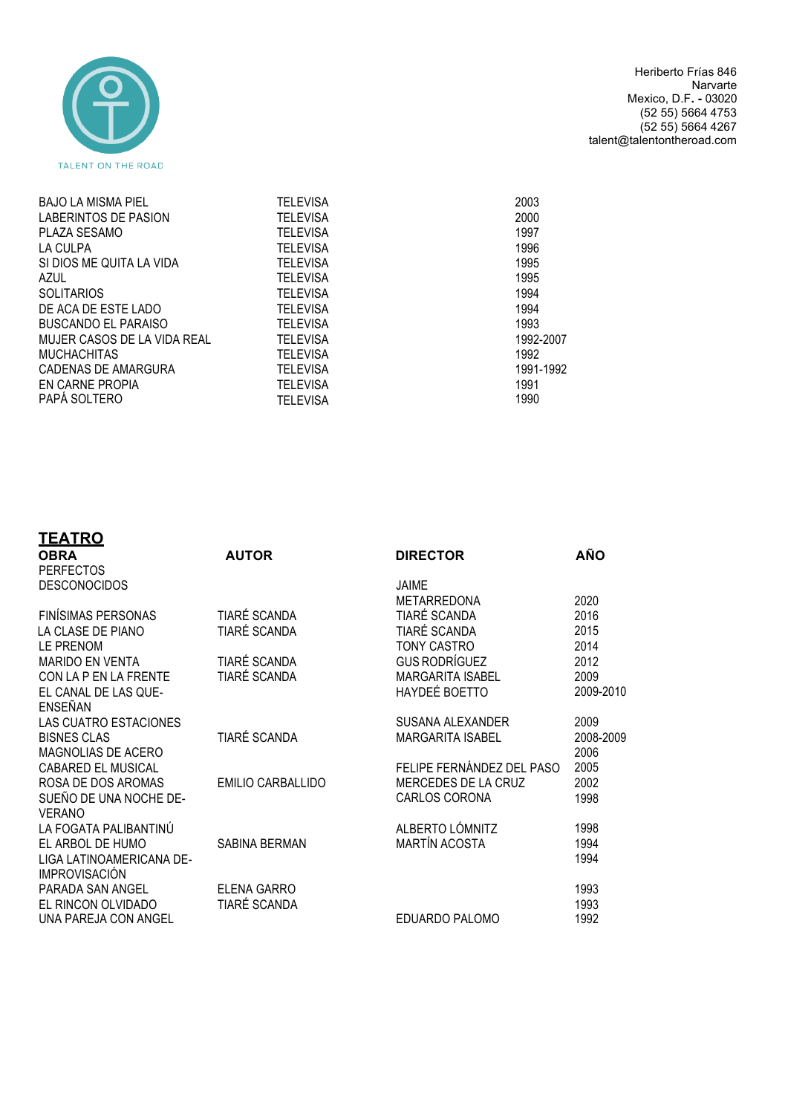

Heriberto Frías 846 Narvarte Mexico, D.F**. -** 03020 (52 55) 5664 4753 (52 55) 5664 4267 talent@talentontheroad.com

| <b>BAJO LA MISMA PIEL</b>   | <b>TELEVISA</b> | 2003      |
|-----------------------------|-----------------|-----------|
| LABERINTOS DE PASION        | <b>TELEVISA</b> | 2000      |
| PLAZA SESAMO                | <b>TELEVISA</b> | 1997      |
| LA CULPA                    | <b>TELEVISA</b> | 1996      |
| SI DIOS ME QUITA LA VIDA    | <b>TELEVISA</b> | 1995      |
| AZUL                        | <b>TELEVISA</b> | 1995      |
| <b>SOLITARIOS</b>           | <b>TELEVISA</b> | 1994      |
| DE ACA DE ESTE LADO         | <b>TELEVISA</b> | 1994      |
| BUSCANDO EL PARAISO         | <b>TELEVISA</b> | 1993      |
| MUJER CASOS DE LA VIDA REAL | <b>TELEVISA</b> | 1992-2007 |
| <b>MUCHACHITAS</b>          | <b>TELEVISA</b> | 1992      |
| CADENAS DE AMARGURA         | <b>TELEVISA</b> | 1991-1992 |
| EN CARNE PROPIA             | <b>TELEVISA</b> | 1991      |
| PAPA SOLTERO                | <b>TELEVISA</b> | 1990      |
|                             |                 |           |

| <u>TEATRO</u>                                    |                          |                           |              |
|--------------------------------------------------|--------------------------|---------------------------|--------------|
| <b>OBRA</b>                                      | <b>AUTOR</b>             | <b>DIRECTOR</b>           | AÑO          |
| <b>PERFECTOS</b>                                 |                          |                           |              |
| <b>DESCONOCIDOS</b>                              |                          | <b>JAIME</b>              |              |
|                                                  |                          | <b>METARREDONA</b>        | 2020         |
| <b>FINÍSIMAS PERSONAS</b>                        | TIARÉ SCANDA             | <b>TIARÉ SCANDA</b>       | 2016         |
| LA CLASE DE PIANO                                | TIARÉ SCANDA             | TIARÉ SCANDA              | 2015         |
| LE PRENOM                                        |                          | <b>TONY CASTRO</b>        | 2014         |
| <b>MARIDO EN VENTA</b>                           | TIARÉ SCANDA             | <b>GUS RODRÍGUEZ</b>      | 2012         |
| CON LA P EN LA FRENTE                            | TIARÉ SCANDA             | <b>MARGARITA ISABEL</b>   | 2009         |
| EL CANAL DE LAS QUE-                             |                          | <b>HAYDEÉ BOETTO</b>      | 2009-2010    |
| ENSEÑAN                                          |                          |                           |              |
| <b>LAS CUATRO ESTACIONES</b>                     |                          | SUSANA ALEXANDER          | 2009         |
| <b>BISNES CLAS</b>                               | <b>TIARÉ SCANDA</b>      | <b>MARGARITA ISABEL</b>   | 2008-2009    |
| MAGNOLIAS DE ACERO                               |                          |                           | 2006         |
| <b>CABARED EL MUSICAL</b>                        |                          | FELIPE FERNÁNDEZ DEL PASO | 2005         |
| ROSA DE DOS AROMAS                               | <b>EMILIO CARBALLIDO</b> | MERCEDES DE LA CRUZ       | 2002         |
| SUEÑO DE UNA NOCHE DE-                           |                          | CARLOS CORONA             | 1998         |
| <b>VERANO</b>                                    |                          |                           |              |
| LA FOGATA PALIBANTINÚ                            |                          | ALBERTO LÓMNITZ           | 1998         |
| EL ARBOL DE HUMO                                 | SABINA BERMAN            | <b>MARTÍN ACOSTA</b>      | 1994<br>1994 |
| LIGA LATINOAMERICANA DE-<br><b>IMPROVISACIÓN</b> |                          |                           |              |
| PARADA SAN ANGEL                                 | ELENA GARRO              |                           | 1993         |
| EL RINCON OLVIDADO                               | TIARÉ SCANDA             |                           | 1993         |
| UNA PAREJA CON ANGEL                             |                          | EDUARDO PALOMO            | 1992         |
|                                                  |                          |                           |              |